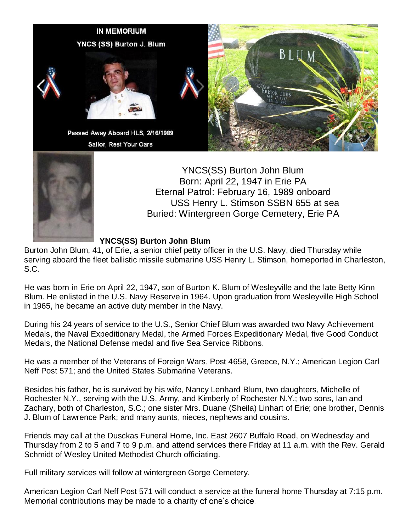

## **YNCS(SS) Burton John Blum**

Burton John Blum, 41, of Erie, a senior chief petty officer in the U.S. Navy, died Thursday while serving aboard the fleet ballistic missile submarine USS Henry L. Stimson, homeported in Charleston, S.C.

He was born in Erie on April 22, 1947, son of Burton K. Blum of Wesleyville and the late Betty Kinn Blum. He enlisted in the U.S. Navy Reserve in 1964. Upon graduation from Wesleyville High School in 1965, he became an active duty member in the Navy.

During his 24 years of service to the U.S., Senior Chief Blum was awarded two Navy Achievement Medals, the Naval Expeditionary Medal, the Armed Forces Expeditionary Medal, five Good Conduct Medals, the National Defense medal and five Sea Service Ribbons.

He was a member of the Veterans of Foreign Wars, Post 4658, Greece, N.Y.; American Legion Carl Neff Post 571; and the United States Submarine Veterans.

Besides his father, he is survived by his wife, Nancy Lenhard Blum, two daughters, Michelle of Rochester N.Y., serving with the U.S. Army, and Kimberly of Rochester N.Y.; two sons, Ian and Zachary, both of Charleston, S.C.; one sister Mrs. Duane (Sheila) Linhart of Erie; one brother, Dennis J. Blum of Lawrence Park; and many aunts, nieces, nephews and cousins.

Friends may call at the Dusckas Funeral Home, Inc. East 2607 Buffalo Road, on Wednesday and Thursday from 2 to 5 and 7 to 9 p.m. and attend services there Friday at 11 a.m. with the Rev. Gerald Schmidt of Wesley United Methodist Church officiating.

Full military services will follow at wintergreen Gorge Cemetery.

American Legion Carl Neff Post 571 will conduct a service at the funeral home Thursday at 7:15 p.m. Memorial contributions may be made to a charity of one's choice.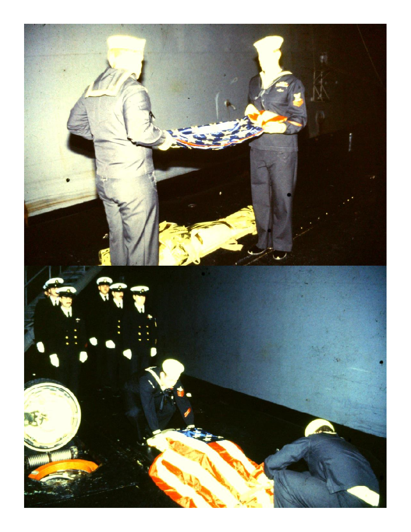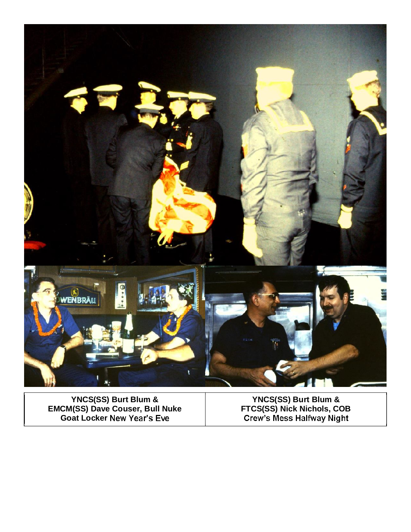

**YNCS(SS) Burt Blum & EMCM(SS) Dave Couser, Bull Nuke Goat Locker**

**YNCS(SS) Burt Blum & FTCS(SS) Nick Nichols, COB**